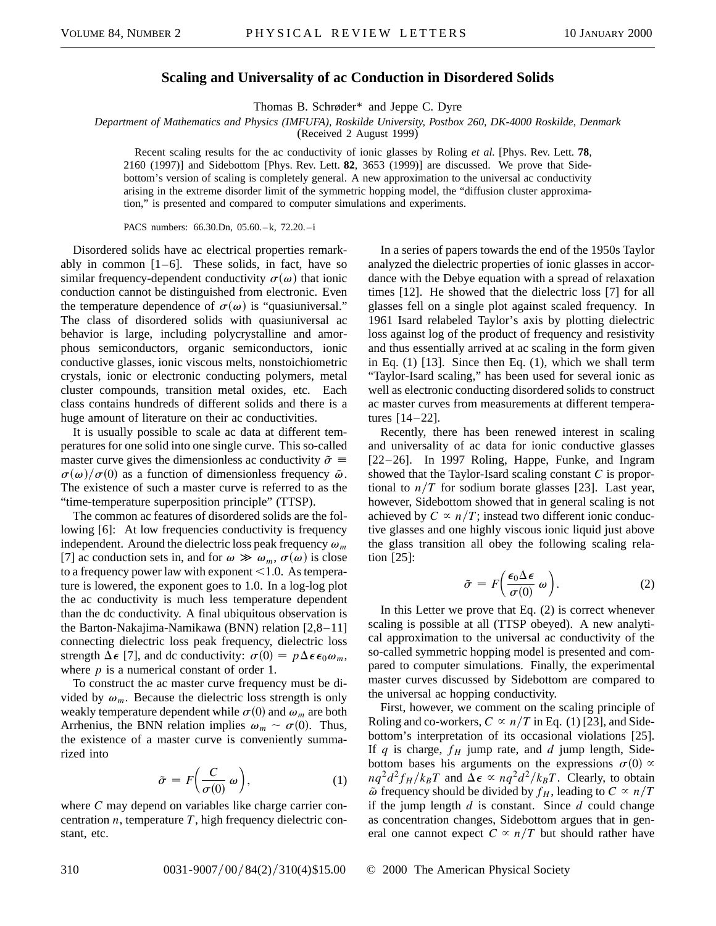## **Scaling and Universality of ac Conduction in Disordered Solids**

Thomas B. Schrøder\* and Jeppe C. Dyre

*Department of Mathematics and Physics (IMFUFA), Roskilde University, Postbox 260, DK-4000 Roskilde, Denmark*

(Received 2 August 1999)

Recent scaling results for the ac conductivity of ionic glasses by Roling *et al.* [Phys. Rev. Lett. **78**, 2160 (1997)] and Sidebottom [Phys. Rev. Lett. **82**, 3653 (1999)] are discussed. We prove that Sidebottom's version of scaling is completely general. A new approximation to the universal ac conductivity arising in the extreme disorder limit of the symmetric hopping model, the "diffusion cluster approximation," is presented and compared to computer simulations and experiments.

PACS numbers: 66.30.Dn, 05.60.–k, 72.20.–i

Disordered solids have ac electrical properties remarkably in common  $[1-6]$ . These solids, in fact, have so similar frequency-dependent conductivity  $\sigma(\omega)$  that ionic conduction cannot be distinguished from electronic. Even the temperature dependence of  $\sigma(\omega)$  is "quasiuniversal." The class of disordered solids with quasiuniversal ac behavior is large, including polycrystalline and amorphous semiconductors, organic semiconductors, ionic conductive glasses, ionic viscous melts, nonstoichiometric crystals, ionic or electronic conducting polymers, metal cluster compounds, transition metal oxides, etc. Each class contains hundreds of different solids and there is a huge amount of literature on their ac conductivities.

It is usually possible to scale ac data at different temperatures for one solid into one single curve. This so-called master curve gives the dimensionless ac conductivity  $\tilde{\sigma} \equiv$  $\sigma(\omega)/\sigma(0)$  as a function of dimensionless frequency  $\tilde{\omega}$ . The existence of such a master curve is referred to as the "time-temperature superposition principle" (TTSP).

The common ac features of disordered solids are the following [6]: At low frequencies conductivity is frequency independent. Around the dielectric loss peak frequency  $\omega_m$ [7] ac conduction sets in, and for  $\omega \gg \omega_m$ ,  $\sigma(\omega)$  is close to a frequency power law with exponent  $<$  1.0. As temperature is lowered, the exponent goes to 1.0. In a log-log plot the ac conductivity is much less temperature dependent than the dc conductivity. A final ubiquitous observation is the Barton-Nakajima-Namikawa (BNN) relation [2,8–11] connecting dielectric loss peak frequency, dielectric loss strength  $\Delta \epsilon$  [7], and dc conductivity:  $\sigma(0) = p\Delta \epsilon \epsilon_0 \omega_m$ , where  $p$  is a numerical constant of order 1.

To construct the ac master curve frequency must be divided by  $\omega_m$ . Because the dielectric loss strength is only weakly temperature dependent while  $\sigma(0)$  and  $\omega_m$  are both Arrhenius, the BNN relation implies  $\omega_m \sim \sigma(0)$ . Thus, the existence of a master curve is conveniently summarized into

$$
\tilde{\sigma} = F\left(\frac{C}{\sigma(0)}\,\omega\right),\tag{1}
$$

where *C* may depend on variables like charge carrier concentration *n*, temperature *T*, high frequency dielectric constant, etc.

In a series of papers towards the end of the 1950s Taylor analyzed the dielectric properties of ionic glasses in accordance with the Debye equation with a spread of relaxation times [12]. He showed that the dielectric loss [7] for all glasses fell on a single plot against scaled frequency. In 1961 Isard relabeled Taylor's axis by plotting dielectric loss against log of the product of frequency and resistivity and thus essentially arrived at ac scaling in the form given in Eq.  $(1)$  [13]. Since then Eq.  $(1)$ , which we shall term "Taylor-Isard scaling," has been used for several ionic as well as electronic conducting disordered solids to construct ac master curves from measurements at different temperatures [14–22].

Recently, there has been renewed interest in scaling and universality of ac data for ionic conductive glasses [22–26]. In 1997 Roling, Happe, Funke, and Ingram showed that the Taylor-Isard scaling constant *C* is proportional to  $n/T$  for sodium borate glasses [23]. Last year, however, Sidebottom showed that in general scaling is not achieved by  $C \propto n/T$ ; instead two different ionic conductive glasses and one highly viscous ionic liquid just above the glass transition all obey the following scaling relation [25]:

$$
\tilde{\sigma} = F\bigg(\frac{\epsilon_0 \Delta \epsilon}{\sigma(0)} \omega\bigg). \tag{2}
$$

In this Letter we prove that Eq.  $(2)$  is correct whenever scaling is possible at all (TTSP obeyed). A new analytical approximation to the universal ac conductivity of the so-called symmetric hopping model is presented and compared to computer simulations. Finally, the experimental master curves discussed by Sidebottom are compared to the universal ac hopping conductivity.

First, however, we comment on the scaling principle of Roling and co-workers,  $C \propto n/T$  in Eq. (1) [23], and Sidebottom's interpretation of its occasional violations [25]. If  $q$  is charge,  $f_H$  jump rate, and  $d$  jump length, Sidebottom bases his arguments on the expressions  $\sigma(0) \propto$  $nq^2d^2f_H/k_BT$  and  $\Delta\epsilon \propto nq^2d^2/k_BT$ . Clearly, to obtain  $\tilde{\omega}$  frequency should be divided by  $f_H$ , leading to  $C \propto n/T$ if the jump length *d* is constant. Since *d* could change as concentration changes, Sidebottom argues that in general one cannot expect  $C \propto n/T$  but should rather have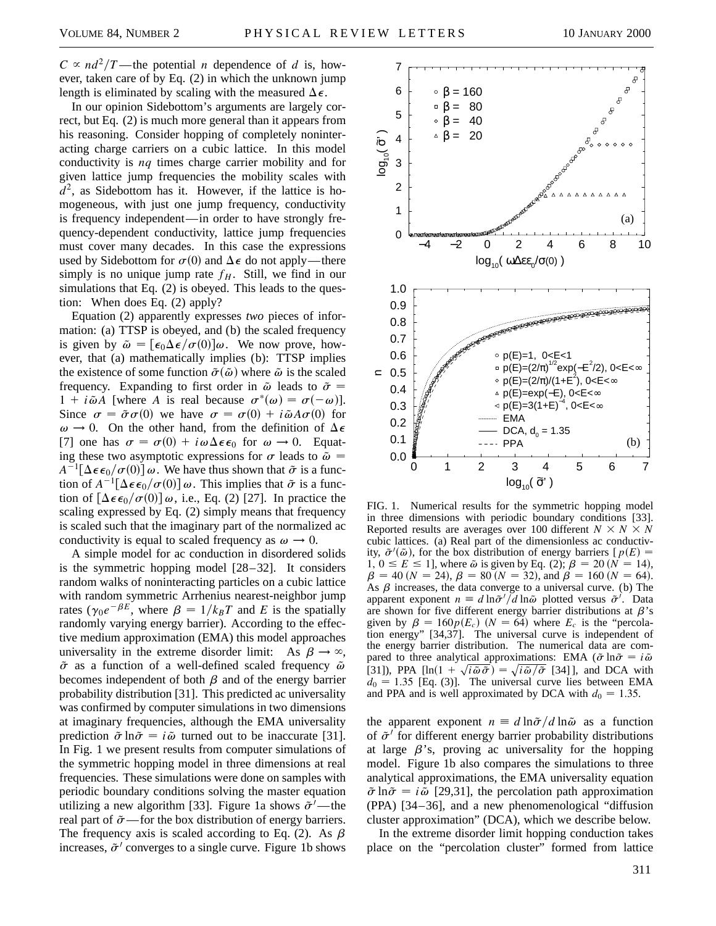$C \propto nd^2/T$ —the potential *n* dependence of *d* is, however, taken care of by Eq. (2) in which the unknown jump length is eliminated by scaling with the measured  $\Delta \epsilon$ .

In our opinion Sidebottom's arguments are largely correct, but Eq. (2) is much more general than it appears from his reasoning. Consider hopping of completely noninteracting charge carriers on a cubic lattice. In this model conductivity is *nq* times charge carrier mobility and for given lattice jump frequencies the mobility scales with  $d^2$ , as Sidebottom has it. However, if the lattice is homogeneous, with just one jump frequency, conductivity is frequency independent—in order to have strongly frequency-dependent conductivity, lattice jump frequencies must cover many decades. In this case the expressions used by Sidebottom for  $\sigma(0)$  and  $\Delta \epsilon$  do not apply—there simply is no unique jump rate  $f<sub>H</sub>$ . Still, we find in our simulations that Eq. (2) is obeyed. This leads to the question: When does Eq. (2) apply?

Equation (2) apparently expresses *two* pieces of information: (a) TTSP is obeyed, and (b) the scaled frequency is given by  $\tilde{\omega} = [\epsilon_0 \Delta \epsilon / \sigma(0)] \omega$ . We now prove, however, that (a) mathematically implies (b): TTSP implies the existence of some function  $\tilde{\sigma}(\tilde{\omega})$  where  $\tilde{\omega}$  is the scaled frequency. Expanding to first order in  $\tilde{\omega}$  leads to  $\tilde{\sigma} =$  $1 + i\tilde{\omega}A$  [where A is real because  $\sigma^*(\omega) = \sigma(-\omega)$ ]. Since  $\sigma = \tilde{\sigma}\sigma(0)$  we have  $\sigma = \sigma(0) + i\tilde{\omega}A\sigma(0)$  for  $\omega \rightarrow 0$ . On the other hand, from the definition of  $\Delta \epsilon$ [7] one has  $\sigma = \sigma(0) + i\omega\Delta\epsilon\epsilon_0$  for  $\omega \to 0$ . Equating these two asymptotic expressions for  $\sigma$  leads to  $\tilde{\omega} =$  $A^{-1}[\Delta \epsilon \epsilon_0/\sigma(0)] \omega$ . We have thus shown that  $\tilde{\sigma}$  is a function of  $A^{-1}[\Delta \epsilon \epsilon_0/\sigma(0)] \omega$ . This implies that  $\tilde{\sigma}$  is a function of  $[\Delta \epsilon \epsilon_0/\sigma(0)] \omega$ , i.e., Eq. (2) [27]. In practice the scaling expressed by Eq. (2) simply means that frequency is scaled such that the imaginary part of the normalized ac conductivity is equal to scaled frequency as  $\omega \to 0$ .

A simple model for ac conduction in disordered solids is the symmetric hopping model [28–32]. It considers random walks of noninteracting particles on a cubic lattice with random symmetric Arrhenius nearest-neighbor jump rates ( $\gamma_0 e^{-\beta E}$ , where  $\beta = 1/k_B T$  and *E* is the spatially randomly varying energy barrier). According to the effective medium approximation (EMA) this model approaches universality in the extreme disorder limit: As  $\beta \rightarrow \infty$ ,  $\tilde{\sigma}$  as a function of a well-defined scaled frequency  $\tilde{\omega}$ becomes independent of both  $\beta$  and of the energy barrier probability distribution [31]. This predicted ac universality was confirmed by computer simulations in two dimensions at imaginary frequencies, although the EMA universality prediction  $\tilde{\sigma}$  ln $\tilde{\sigma} = i\tilde{\omega}$  turned out to be inaccurate [31]. In Fig. 1 we present results from computer simulations of the symmetric hopping model in three dimensions at real frequencies. These simulations were done on samples with periodic boundary conditions solving the master equation utilizing a new algorithm [33]. Figure 1a shows  $\tilde{\sigma}^{\prime}$  —the real part of  $\tilde{\sigma}$ —for the box distribution of energy barriers. The frequency axis is scaled according to Eq. (2). As  $\beta$ increases,  $\tilde{\sigma}$  converges to a single curve. Figure 1b shows



FIG. 1. Numerical results for the symmetric hopping model in three dimensions with periodic boundary conditions [33]. Reported results are averages over 100 different  $N \times N \times N$ cubic lattices. (a) Real part of the dimensionless ac conductivity,  $\tilde{\sigma}'(\tilde{\omega})$ , for the box distribution of energy barriers [ $p(E)$  =  $1, 0 \le E \le 1$ , where  $\tilde{\omega}$  is given by Eq. (2);  $\beta = 20 (N = 14)$ ,  $\beta = 40$  (*N* = 24),  $\beta = 80$  (*N* = 32), and  $\beta = 160$  (*N* = 64). As  $\beta$  increases, the data converge to a universal curve. (b) The apparent exponent  $n \equiv d \ln \tilde{\sigma}^{\prime} / d \ln \tilde{\omega}$  plotted versus  $\tilde{\sigma}^{\prime}$ . Data are shown for five different energy barrier distributions at  $\beta$ 's given by  $\beta = 160p(E_c)$  ( $N = 64$ ) where  $E_c$  is the "percolation energy" [34,37]. The universal curve is independent of the energy barrier distribution. The numerical data are compared to three analytical approximations: EMA ( $\tilde{\sigma}$  ln $\tilde{\sigma} = i\tilde{\omega}$ pared to three analytical approximations: EMA ( $\sigma$  ln $\sigma = i\omega$ <br>[31]), PPA [ln(1 +  $\sqrt{i\tilde{\omega}\tilde{\sigma}}$ ) =  $\sqrt{i\tilde{\omega}/\tilde{\sigma}}$  [34]], and DCA with  $d_0 = 1.35$  [Eq. (3)]. The universal curve lies between EMA and PPA and is well approximated by DCA with  $d_0 = 1.35$ .

the apparent exponent  $n \equiv d \ln \tilde{\sigma} / d \ln \tilde{\omega}$  as a function of  $\tilde{\sigma}^{\prime}$  for different energy barrier probability distributions at large  $\beta$ 's, proving ac universality for the hopping model. Figure 1b also compares the simulations to three analytical approximations, the EMA universality equation  $\tilde{\sigma}$  ln $\tilde{\sigma} = i\tilde{\omega}$  [29,31], the percolation path approximation (PPA) [34–36], and a new phenomenological "diffusion cluster approximation" (DCA), which we describe below.

In the extreme disorder limit hopping conduction takes place on the "percolation cluster" formed from lattice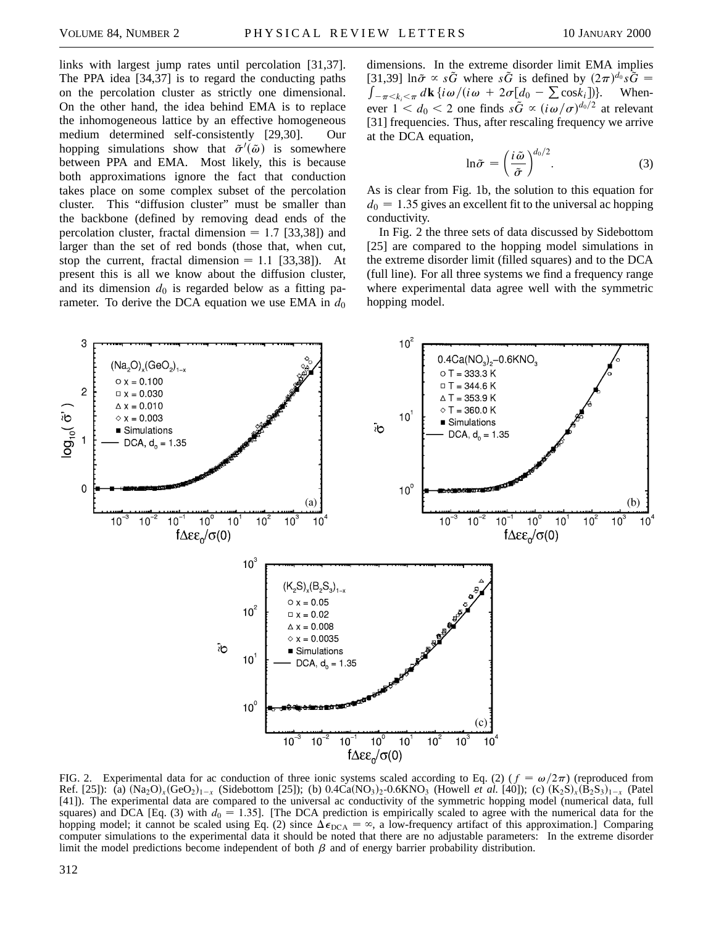links with largest jump rates until percolation [31,37]. The PPA idea [34,37] is to regard the conducting paths on the percolation cluster as strictly one dimensional. On the other hand, the idea behind EMA is to replace the inhomogeneous lattice by an effective homogeneous medium determined self-consistently [29,30]. Our hopping simulations show that  $\tilde{\sigma}'(\tilde{\omega})$  is somewhere between PPA and EMA. Most likely, this is because both approximations ignore the fact that conduction takes place on some complex subset of the percolation cluster. This "diffusion cluster" must be smaller than the backbone (defined by removing dead ends of the percolation cluster, fractal dimension  $= 1.7$  [33,38]) and larger than the set of red bonds (those that, when cut, stop the current, fractal dimension  $= 1.1$  [33,38]). At present this is all we know about the diffusion cluster, and its dimension  $d_0$  is regarded below as a fitting parameter. To derive the DCA equation we use EMA in  $d_0$ 

dimensions. In the extreme disorder limit EMA implies [31,39]  $\ln \tilde{\sigma} \propto s\tilde{G}$  where  $s\tilde{G}$  is defined by  $(2\pi)^{d_0} s\tilde{G} =$  $\int_{-\pi < k_i < \pi} d\mathbf{k} \{ i\omega / (i\omega + 2\sigma [d_0 - \sum \cos k_i]) \}$  . Whenever  $1 < d_0 < 2$  one finds  $s\tilde{G} \propto (i\omega/\sigma)^{d_0/2}$  at relevant [31] frequencies. Thus, after rescaling frequency we arrive at the DCA equation,

$$
\ln \tilde{\sigma} = \left(\frac{i\tilde{\omega}}{\tilde{\sigma}}\right)^{d_0/2}.\tag{3}
$$

As is clear from Fig. 1b, the solution to this equation for  $d_0 = 1.35$  gives an excellent fit to the universal ac hopping conductivity.

In Fig. 2 the three sets of data discussed by Sidebottom [25] are compared to the hopping model simulations in the extreme disorder limit (filled squares) and to the DCA (full line). For all three systems we find a frequency range where experimental data agree well with the symmetric hopping model.



FIG. 2. Experimental data for ac conduction of three ionic systems scaled according to Eq. (2) ( $f = \omega/2\pi$ ) (reproduced from Ref. [25]): (a)  $(Na_2O)_x(GeO_2)_{1-x}$  (Sidebottom [25]); (b)  $0.4Ca(NO_3)_2-0.6KNO_3$  (Howell *et al.* [40]); (c)  $(K_2S)_x(B_2S_3)_{1-x}$  (Patel [41]). The experimental data are compared to the universal ac conductivity of the symmetric hopping model (numerical data, full squares) and DCA [Eq. (3) with  $d_0 = 1.35$ ]. [The DCA prediction is empirically scaled to agree with the numerical data for the hopping model; it cannot be scaled using Eq. (2) since  $\Delta \epsilon_{\text{DCA}} = \infty$ , a low-frequency artifact of this approximation.] Comparing computer simulations to the experimental data it should be noted that there are no adjustable parameters: In the extreme disorder limit the model predictions become independent of both  $\beta$  and of energy barrier probability distribution.